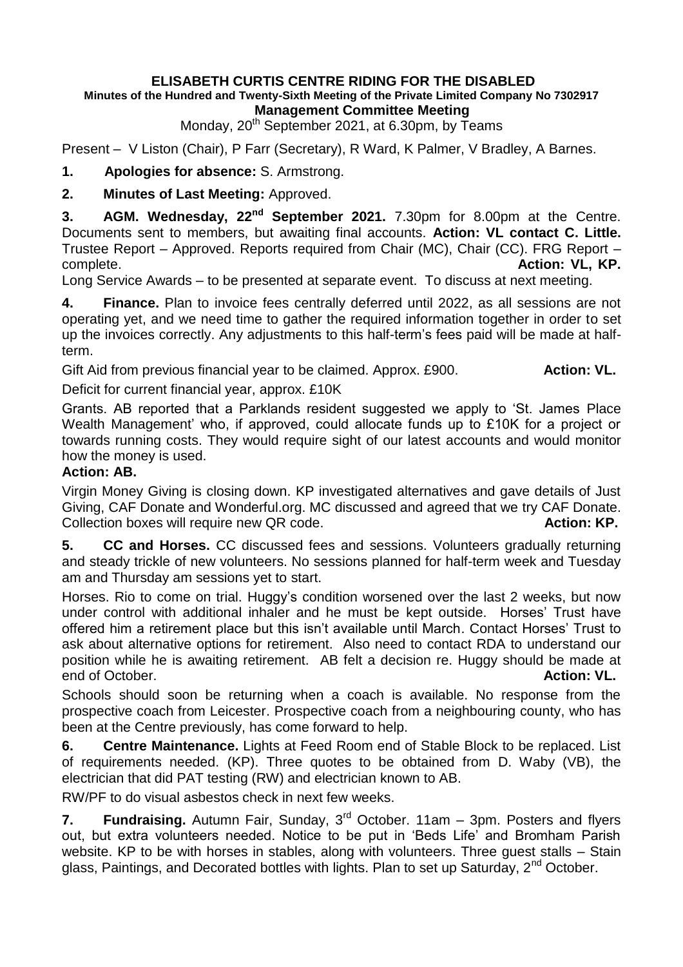## **ELISABETH CURTIS CENTRE RIDING FOR THE DISABLED Minutes of the Hundred and Twenty-Sixth Meeting of the Private Limited Company No 7302917 Management Committee Meeting**

Monday, 20<sup>th</sup> September 2021, at 6.30pm, by Teams

Present – V Liston (Chair), P Farr (Secretary), R Ward, K Palmer, V Bradley, A Barnes.

**1. Apologies for absence:** S. Armstrong.

**2. Minutes of Last Meeting:** Approved.

**3. AGM. Wednesday, 22nd September 2021.** 7.30pm for 8.00pm at the Centre. Documents sent to members, but awaiting final accounts. **Action: VL contact C. Little.**  Trustee Report – Approved. Reports required from Chair (MC), Chair (CC). FRG Report – complete. **Action: VL, KP.** 

Long Service Awards – to be presented at separate event. To discuss at next meeting.

**4. Finance.** Plan to invoice fees centrally deferred until 2022, as all sessions are not operating yet, and we need time to gather the required information together in order to set up the invoices correctly. Any adjustments to this half-term's fees paid will be made at halfterm.

Gift Aid from previous financial year to be claimed. Approx. £900. **Action: VL.** 

Deficit for current financial year, approx. £10K

Grants. AB reported that a Parklands resident suggested we apply to 'St. James Place Wealth Management' who, if approved, could allocate funds up to £10K for a project or towards running costs. They would require sight of our latest accounts and would monitor how the money is used.

## **Action: AB.**

Virgin Money Giving is closing down. KP investigated alternatives and gave details of Just Giving, CAF Donate and Wonderful.org. MC discussed and agreed that we try CAF Donate. Collection boxes will require new QR code. **Action: KP. Action: KP. Action: KP.** 

**5. CC and Horses.** CC discussed fees and sessions. Volunteers gradually returning and steady trickle of new volunteers. No sessions planned for half-term week and Tuesday am and Thursday am sessions yet to start.

Horses. Rio to come on trial. Huggy's condition worsened over the last 2 weeks, but now under control with additional inhaler and he must be kept outside. Horses' Trust have offered him a retirement place but this isn't available until March. Contact Horses' Trust to ask about alternative options for retirement. Also need to contact RDA to understand our position while he is awaiting retirement. AB felt a decision re. Huggy should be made at end of October. **Action: VL.**

Schools should soon be returning when a coach is available. No response from the prospective coach from Leicester. Prospective coach from a neighbouring county, who has been at the Centre previously, has come forward to help.

**6. Centre Maintenance.** Lights at Feed Room end of Stable Block to be replaced. List of requirements needed. (KP). Three quotes to be obtained from D. Waby (VB), the electrician that did PAT testing (RW) and electrician known to AB.

RW/PF to do visual asbestos check in next few weeks.

**7. Fundraising.** Autumn Fair, Sunday, 3rd October. 11am – 3pm. Posters and flyers out, but extra volunteers needed. Notice to be put in 'Beds Life' and Bromham Parish website. KP to be with horses in stables, along with volunteers. Three guest stalls – Stain glass, Paintings, and Decorated bottles with lights. Plan to set up Saturday, 2<sup>nd</sup> October.